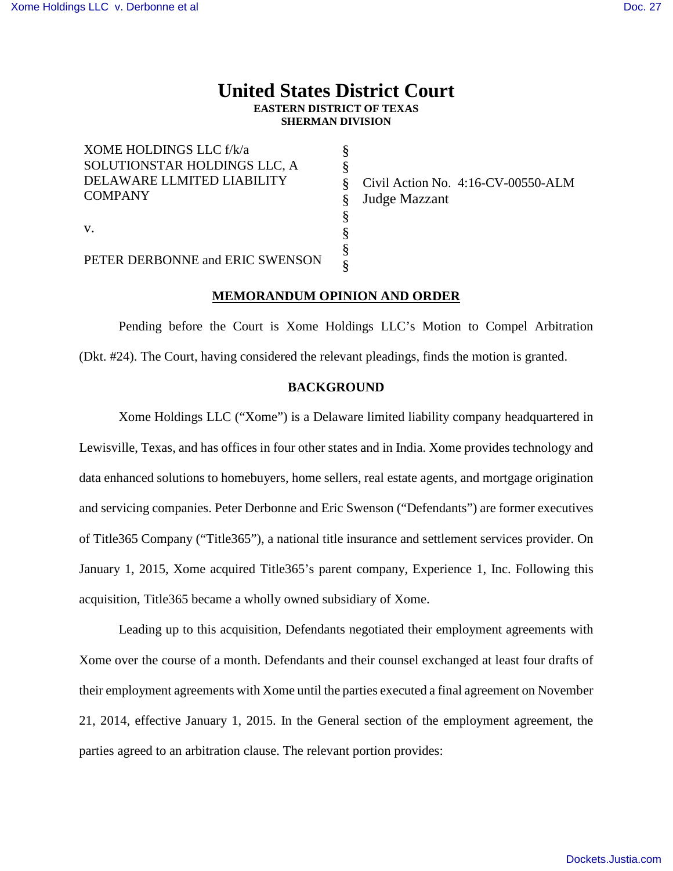# **United States District Court EASTERN DISTRICT OF TEXAS SHERMAN DIVISION**

| XOME HOLDINGS LLC f/k/a         |   |  |
|---------------------------------|---|--|
| SOLUTIONSTAR HOLDINGS LLC, A    |   |  |
| DELAWARE LLMITED LIABILITY      |   |  |
| <b>COMPANY</b>                  |   |  |
|                                 | 8 |  |
| V.                              |   |  |
|                                 |   |  |
| PETER DERBONNE and ERIC SWENSON |   |  |

Civil Action No. 4:16-CV-00550-ALM Judge Mazzant

## **MEMORANDUM OPINION AND ORDER**

Pending before the Court is Xome Holdings LLC's Motion to Compel Arbitration (Dkt. #24). The Court, having considered the relevant pleadings, finds the motion is granted.

# **BACKGROUND**

Xome Holdings LLC ("Xome") is a Delaware limited liability company headquartered in Lewisville, Texas, and has offices in four other states and in India. Xome provides technology and data enhanced solutions to homebuyers, home sellers, real estate agents, and mortgage origination and servicing companies. Peter Derbonne and Eric Swenson ("Defendants") are former executives of Title365 Company ("Title365"), a national title insurance and settlement services provider. On January 1, 2015, Xome acquired Title365's parent company, Experience 1, Inc. Following this acquisition, Title365 became a wholly owned subsidiary of Xome.

Leading up to this acquisition, Defendants negotiated their employment agreements with Xome over the course of a month. Defendants and their counsel exchanged at least four drafts of their employment agreements with Xome until the parties executed a final agreement on November 21, 2014, effective January 1, 2015. In the General section of the employment agreement, the parties agreed to an arbitration clause. The relevant portion provides: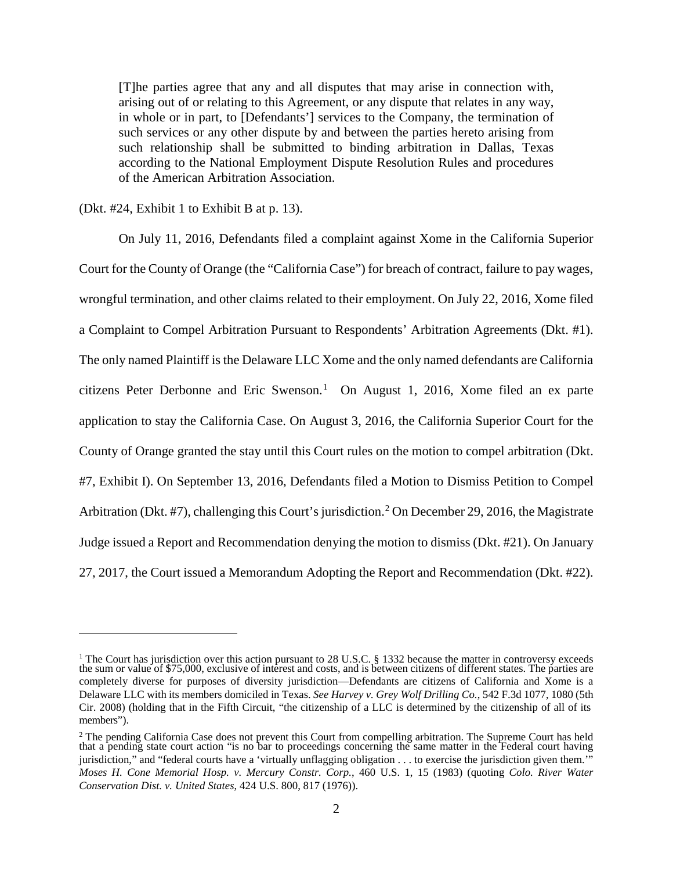[T]he parties agree that any and all disputes that may arise in connection with, arising out of or relating to this Agreement, or any dispute that relates in any way, in whole or in part, to [Defendants'] services to the Company, the termination of such services or any other dispute by and between the parties hereto arising from such relationship shall be submitted to binding arbitration in Dallas, Texas according to the National Employment Dispute Resolution Rules and procedures of the American Arbitration Association.

(Dkt. #24, Exhibit 1 to Exhibit B at p. 13).

On July 11, 2016, Defendants filed a complaint against Xome in the California Superior Court for the County of Orange (the "California Case") for breach of contract, failure to pay wages, wrongful termination, and other claims related to their employment. On July 22, 2016, Xome filed a Complaint to Compel Arbitration Pursuant to Respondents' Arbitration Agreements (Dkt. #1). The only named Plaintiff is the Delaware LLC Xome and the only named defendants are California citizens Peter Derbonne and Eric Swenson.<sup>[1](#page-1-0)</sup> On August 1, 2016, Xome filed an ex parte application to stay the California Case. On August 3, 2016, the California Superior Court for the County of Orange granted the stay until this Court rules on the motion to compel arbitration (Dkt. #7, Exhibit I). On September 13, 2016, Defendants filed a Motion to Dismiss Petition to Compel Arbitration (Dkt. #7), challenging this Court's jurisdiction.<sup>[2](#page-1-1)</sup> On December 29, 2016, the Magistrate Judge issued a Report and Recommendation denying the motion to dismiss (Dkt. #21). On January 27, 2017, the Court issued a Memorandum Adopting the Report and Recommendation (Dkt. #22).

<span id="page-1-0"></span><sup>&</sup>lt;sup>1</sup> The Court has jurisdiction over this action pursuant to 28 U.S.C. § 1332 because the matter in controversy exceeds the sum or value of \$75,000, exclusive of interest and costs, and is between citizens of different states. The parties are completely diverse for purposes of diversity jurisdiction—Defendants are citizens of California and Xome is a Delaware LLC with its members domiciled in Texas. *See Harvey v. Grey Wolf Drilling Co.*, 542 F.3d 1077, 1080 (5th Cir. 2008) (holding that in the Fifth Circuit, "the citizenship of a LLC is determined by the citizenship of all of its members").

<span id="page-1-1"></span> $2<sup>2</sup>$  The pending California Case does not prevent this Court from compelling arbitration. The Supreme Court has held that a pending state court action "is no bar to proceedings concerning the same matter in the Federal court having jurisdiction," and "federal courts have a 'virtually unflagging obligation . . . to exercise the jurisdiction given them.'" *Moses H. Cone Memorial Hosp. v. Mercury Constr. Corp.*, 460 U.S. 1, 15 (1983) (quoting *Colo. River Water Conservation Dist. v. United States*, 424 U.S. 800, 817 (1976)).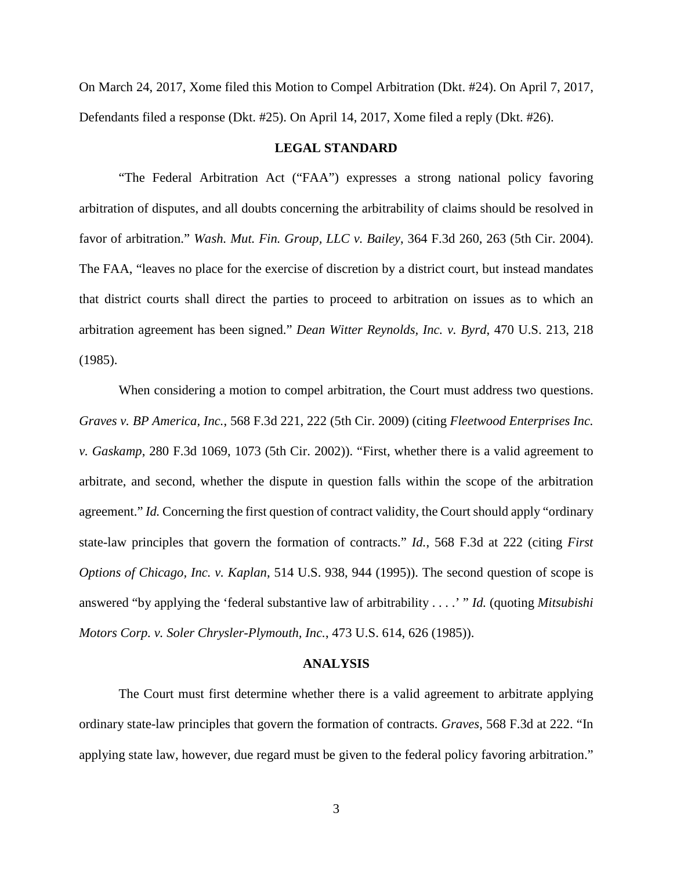On March 24, 2017, Xome filed this Motion to Compel Arbitration (Dkt. #24). On April 7, 2017, Defendants filed a response (Dkt. #25). On April 14, 2017, Xome filed a reply (Dkt. #26).

## **LEGAL STANDARD**

"The Federal Arbitration Act ("FAA") expresses a strong national policy favoring arbitration of disputes, and all doubts concerning the arbitrability of claims should be resolved in favor of arbitration." *Wash. Mut. Fin. Group, LLC v. Bailey*, 364 F.3d 260, 263 (5th Cir. 2004). The FAA, "leaves no place for the exercise of discretion by a district court, but instead mandates that district courts shall direct the parties to proceed to arbitration on issues as to which an arbitration agreement has been signed." *Dean Witter Reynolds, Inc. v. Byrd*, 470 U.S. 213, 218 (1985).

When considering a motion to compel arbitration, the Court must address two questions. *Graves v. BP America, Inc.*, 568 F.3d 221, 222 (5th Cir. 2009) (citing *Fleetwood Enterprises Inc. v. Gaskamp*, 280 F.3d 1069, 1073 (5th Cir. 2002)). "First, whether there is a valid agreement to arbitrate, and second, whether the dispute in question falls within the scope of the arbitration agreement." *Id.* Concerning the first question of contract validity, the Court should apply "ordinary state-law principles that govern the formation of contracts." *Id.*, 568 F.3d at 222 (citing *First Options of Chicago, Inc. v. Kaplan*, 514 U.S. 938, 944 (1995)). The second question of scope is answered "by applying the 'federal substantive law of arbitrability . . . .' " *Id.* (quoting *Mitsubishi Motors Corp. v. Soler Chrysler-Plymouth, Inc.*, 473 U.S. 614, 626 (1985)).

#### **ANALYSIS**

The Court must first determine whether there is a valid agreement to arbitrate applying ordinary state-law principles that govern the formation of contracts. *Graves*, 568 F.3d at 222. "In applying state law, however, due regard must be given to the federal policy favoring arbitration."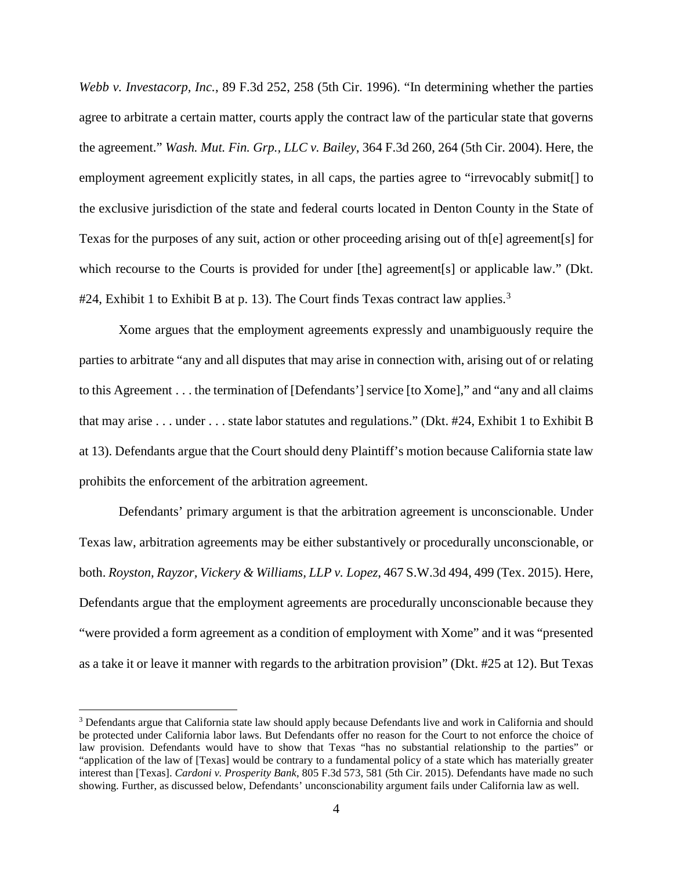*Webb v. Investacorp, Inc.*, 89 F.3d 252, 258 (5th Cir. 1996). "In determining whether the parties agree to arbitrate a certain matter, courts apply the contract law of the particular state that governs the agreement." *Wash. Mut. Fin. Grp., LLC v. Bailey*, 364 F.3d 260, 264 (5th Cir. 2004). Here, the employment agreement explicitly states, in all caps, the parties agree to "irrevocably submit[] to the exclusive jurisdiction of the state and federal courts located in Denton County in the State of Texas for the purposes of any suit, action or other proceeding arising out of th[e] agreement[s] for which recourse to the Courts is provided for under [the] agreement[s] or applicable law." (Dkt.  $\#24$ , Exhibit 1 to Exhibit B at p. 1[3](#page-3-0)). The Court finds Texas contract law applies.<sup>3</sup>

Xome argues that the employment agreements expressly and unambiguously require the parties to arbitrate "any and all disputes that may arise in connection with, arising out of or relating to this Agreement . . . the termination of [Defendants'] service [to Xome]," and "any and all claims that may arise . . . under . . . state labor statutes and regulations." (Dkt. #24, Exhibit 1 to Exhibit B at 13). Defendants argue that the Court should deny Plaintiff's motion because California state law prohibits the enforcement of the arbitration agreement.

Defendants' primary argument is that the arbitration agreement is unconscionable. Under Texas law, arbitration agreements may be either substantively or procedurally unconscionable, or both. *Royston, Rayzor, Vickery & Williams, LLP v. Lopez*, 467 S.W.3d 494, 499 (Tex. 2015). Here, Defendants argue that the employment agreements are procedurally unconscionable because they "were provided a form agreement as a condition of employment with Xome" and it was "presented as a take it or leave it manner with regards to the arbitration provision" (Dkt. #25 at 12). But Texas

 $\overline{a}$ 

<span id="page-3-0"></span><sup>&</sup>lt;sup>3</sup> Defendants argue that California state law should apply because Defendants live and work in California and should be protected under California labor laws. But Defendants offer no reason for the Court to not enforce the choice of law provision. Defendants would have to show that Texas "has no substantial relationship to the parties" or "application of the law of [Texas] would be contrary to a fundamental policy of a state which has materially greater interest than [Texas]. *Cardoni v. Prosperity Bank*, 805 F.3d 573, 581 (5th Cir. 2015). Defendants have made no such showing. Further, as discussed below, Defendants' unconscionability argument fails under California law as well.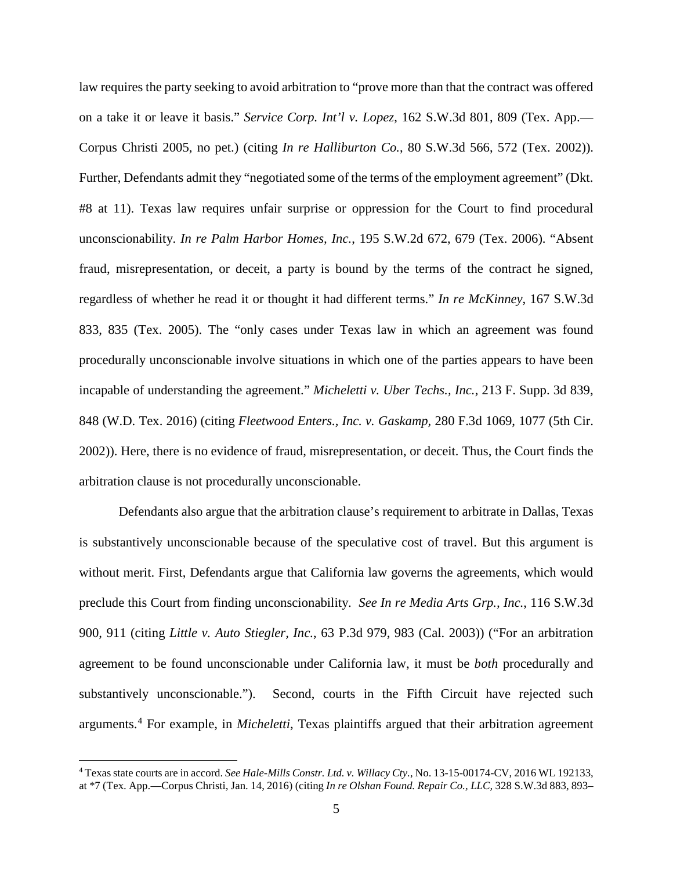law requires the party seeking to avoid arbitration to "prove more than that the contract was offered on a take it or leave it basis." *Service Corp. Int'l v. Lopez*, 162 S.W.3d 801, 809 (Tex. App.— Corpus Christi 2005, no pet.) (citing *In re Halliburton Co.*, 80 S.W.3d 566, 572 (Tex. 2002)). Further, Defendants admit they "negotiated some of the terms of the employment agreement" (Dkt. #8 at 11). Texas law requires unfair surprise or oppression for the Court to find procedural unconscionability. *In re Palm Harbor Homes, Inc.*, 195 S.W.2d 672, 679 (Tex. 2006). "Absent fraud, misrepresentation, or deceit, a party is bound by the terms of the contract he signed, regardless of whether he read it or thought it had different terms." *In re McKinney*, 167 S.W.3d 833, 835 (Tex. 2005). The "only cases under Texas law in which an agreement was found procedurally unconscionable involve situations in which one of the parties appears to have been incapable of understanding the agreement." *Micheletti v. Uber Techs., Inc.*, 213 F. Supp. 3d 839, 848 (W.D. Tex. 2016) (citing *Fleetwood Enters., Inc. v. Gaskamp,* 280 F.3d 1069, 1077 (5th Cir. 2002)). Here, there is no evidence of fraud, misrepresentation, or deceit. Thus, the Court finds the arbitration clause is not procedurally unconscionable.

Defendants also argue that the arbitration clause's requirement to arbitrate in Dallas, Texas is substantively unconscionable because of the speculative cost of travel. But this argument is without merit. First, Defendants argue that California law governs the agreements, which would preclude this Court from finding unconscionability. *See In re Media Arts Grp., Inc.*, 116 S.W.3d 900, 911 (citing *Little v. Auto Stiegler, Inc.*, 63 P.3d 979, 983 (Cal. 2003)) ("For an arbitration agreement to be found unconscionable under California law, it must be *both* procedurally and substantively unconscionable."). Second, courts in the Fifth Circuit have rejected such arguments.[4](#page-4-0) For example, in *Micheletti*, Texas plaintiffs argued that their arbitration agreement

<u>.</u>

<span id="page-4-0"></span><sup>4</sup> Texas state courts are in accord. *See Hale-Mills Constr. Ltd. v. Willacy Cty.*, No. 13-15-00174-CV, 2016 WL 192133, at \*7 (Tex. App.—Corpus Christi, Jan. 14, 2016) (citing *In re Olshan Found. Repair Co., LLC,* 328 S.W.3d 883, 893–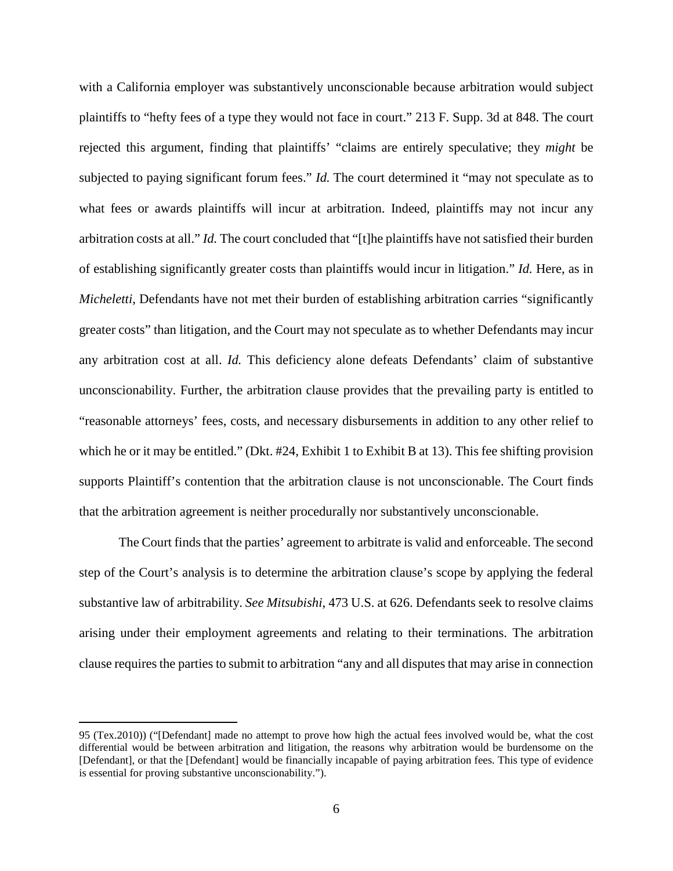with a California employer was substantively unconscionable because arbitration would subject plaintiffs to "hefty fees of a type they would not face in court." 213 F. Supp. 3d at 848. The court rejected this argument, finding that plaintiffs' "claims are entirely speculative; they *might* be subjected to paying significant forum fees." *Id.* The court determined it "may not speculate as to what fees or awards plaintiffs will incur at arbitration. Indeed, plaintiffs may not incur any arbitration costs at all." *Id.* The court concluded that "[t]he plaintiffs have not satisfied their burden of establishing significantly greater costs than plaintiffs would incur in litigation." *Id.* Here, as in *Micheletti*, Defendants have not met their burden of establishing arbitration carries "significantly greater costs" than litigation, and the Court may not speculate as to whether Defendants may incur any arbitration cost at all. *Id.* This deficiency alone defeats Defendants' claim of substantive unconscionability. Further, the arbitration clause provides that the prevailing party is entitled to "reasonable attorneys' fees, costs, and necessary disbursements in addition to any other relief to which he or it may be entitled." (Dkt. #24, Exhibit 1 to Exhibit B at 13). This fee shifting provision supports Plaintiff's contention that the arbitration clause is not unconscionable. The Court finds that the arbitration agreement is neither procedurally nor substantively unconscionable.

The Court finds that the parties' agreement to arbitrate is valid and enforceable. The second step of the Court's analysis is to determine the arbitration clause's scope by applying the federal substantive law of arbitrability. *See Mitsubishi*, 473 U.S. at 626. Defendants seek to resolve claims arising under their employment agreements and relating to their terminations. The arbitration clause requires the parties to submit to arbitration "any and all disputes that may arise in connection

<u>.</u>

<sup>95 (</sup>Tex.2010)) ("[Defendant] made no attempt to prove how high the actual fees involved would be, what the cost differential would be between arbitration and litigation, the reasons why arbitration would be burdensome on the [Defendant], or that the [Defendant] would be financially incapable of paying arbitration fees. This type of evidence is essential for proving substantive unconscionability.").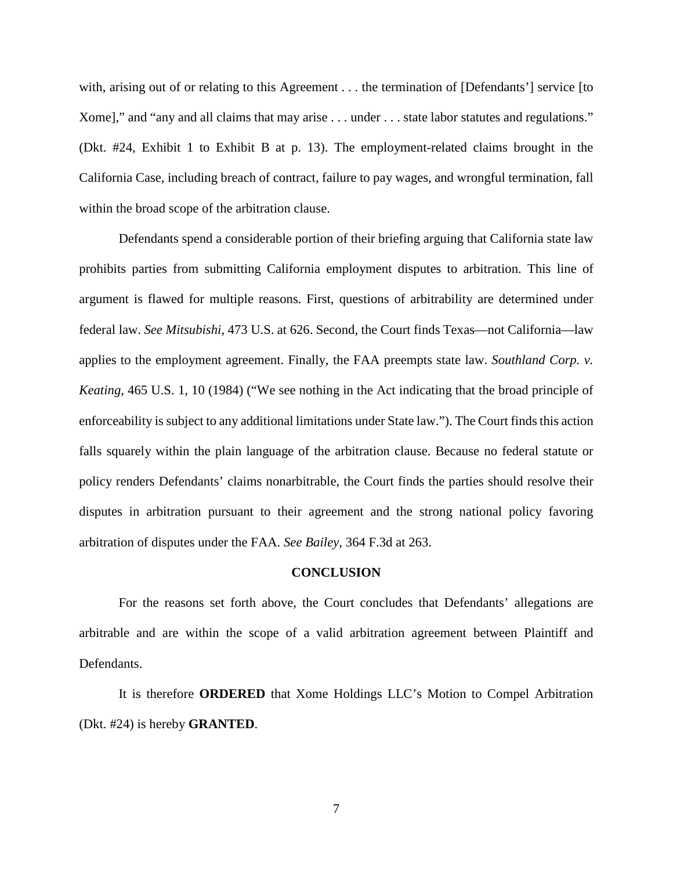with, arising out of or relating to this Agreement . . . the termination of [Defendants'] service [to ] Xome]," and "any and all claims that may arise . . . under . . . state labor statutes and regulations." (Dkt. #24, Exhibit 1 to Exhibit B at p. 13). The employment-related claims brought in the California Case, including breach of contract, failure to pay wages, and wrongful termination, fall within the broad scope of the arbitration clause.

Defendants spend a considerable portion of their briefing arguing that California state law prohibits parties from submitting California employment disputes to arbitration. This line of argument is flawed for multiple reasons. First, questions of arbitrability are determined under federal law. *See Mitsubishi*, 473 U.S. at 626. Second, the Court finds Texas—not California—law applies to the employment agreement. Finally, the FAA preempts state law. *Southland Corp. v. Keating*, 465 U.S. 1, 10 (1984) ("We see nothing in the Act indicating that the broad principle of enforceability is subject to any additional limitations under State law."). The Court finds this action falls squarely within the plain language of the arbitration clause. Because no federal statute or policy renders Defendants' claims nonarbitrable, the Court finds the parties should resolve their disputes in arbitration pursuant to their agreement and the strong national policy favoring arbitration of disputes under the FAA. *See Bailey*, 364 F.3d at 263.

### **CONCLUSION**

For the reasons set forth above, the Court concludes that Defendants' allegations are arbitrable and are within the scope of a valid arbitration agreement between Plaintiff and Defendants.

It is therefore **ORDERED** that Xome Holdings LLC's Motion to Compel Arbitration (Dkt. #24) is hereby **GRANTED**.